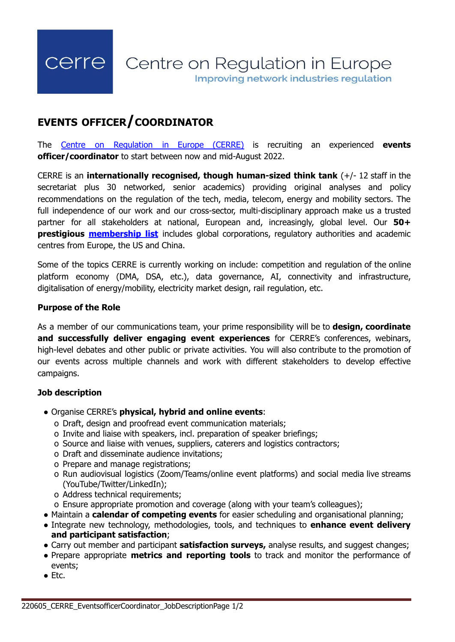# **EVENTS OFFICER/COORDINATOR**

The Centre on [Regulation](https://cerre.eu/) in Europe (CERRE) is recruiting an experienced **events officer/coordinator** to start between now and mid-August 2022.

CERRE is an **internationally recognised, though human-sized think tank** (+/- 12 staff in the secretariat plus 30 networked, senior academics) providing original analyses and policy recommendations on the regulation of the tech, media, telecom, energy and mobility sectors. The full independence of our work and our cross-sector, multi-disciplinary approach make us a trusted partner for all stakeholders at national, European and, increasingly, global level. Our **50+ prestigious [membership](https://cerre.eu/membership/our-members/) list** includes global corporations, regulatory authorities and academic centres from Europe, the US and China.

Some of the topics CERRE is currently working on include: competition and regulation of the online platform economy (DMA, DSA, etc.), data governance, AI, connectivity and infrastructure, digitalisation of energy/mobility, electricity market design, rail regulation, etc.

#### **Purpose of the Role**

As a member of our communications team, your prime responsibility will be to **design, coordinate and successfully deliver engaging event experiences** for CERRE's conferences, webinars, high-level debates and other public or private activities. You will also contribute to the promotion of our events across multiple channels and work with different stakeholders to develop effective campaigns.

## **Job description**

- Organise CERRE's **physical, hybrid and online events**:
	- o Draft, design and proofread event communication materials;
	- o Invite and liaise with speakers, incl. preparation of speaker briefings;
	- o Source and liaise with venues, suppliers, caterers and logistics contractors;
	- o Draft and disseminate audience invitations;
	- o Prepare and manage registrations;
	- o Run audiovisual logistics (Zoom/Teams/online event platforms) and social media live streams (YouTube/Twitter/LinkedIn);
	- o Address technical requirements;
	- o Ensure appropriate promotion and coverage (along with your team's colleagues);
- Maintain a **calendar of competing events** for easier scheduling and organisational planning;
- Integrate new technology, methodologies, tools, and techniques to **enhance event delivery and participant satisfaction**;
- Carry out member and participant **satisfaction surveys,** analyse results, and suggest changes;
- Prepare appropriate **metrics and reporting tools** to track and monitor the performance of events;
- Etc.